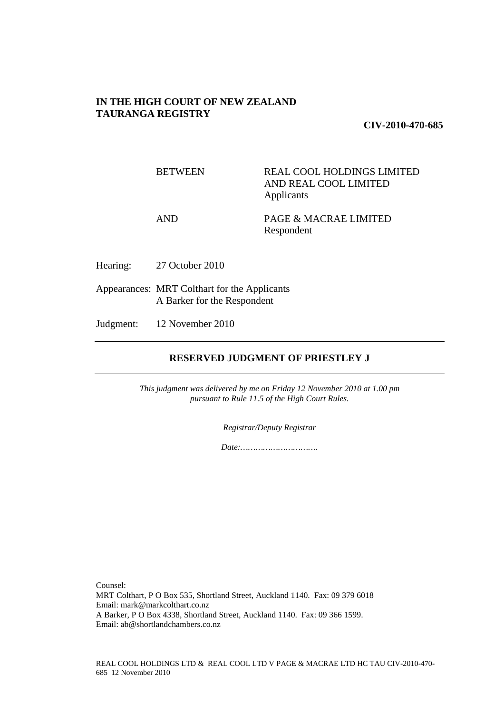# **IN THE HIGH COURT OF NEW ZEALAND TAURANGA REGISTRY**

**CIV-2010-470-685** 

BETWEEN REAL COOL HOLDINGS LIMITED AND REAL COOL LIMITED Applicants

AND PAGE & MACRAE LIMITED Respondent

Hearing: 27 October 2010

Appearances: MRT Colthart for the Applicants A Barker for the Respondent

Judgment: 12 November 2010

# **RESERVED JUDGMENT OF PRIESTLEY J**

*This judgment was delivered by me on Friday 12 November 2010 at 1.00 pm pursuant to Rule 11.5 of the High Court Rules.* 

*Registrar/Deputy Registrar* 

*Date:………………………….*

Counsel:

MRT Colthart, P O Box 535, Shortland Street, Auckland 1140. Fax: 09 379 6018 Email: mark@markcolthart.co.nz A Barker, P O Box 4338, Shortland Street, Auckland 1140. Fax: 09 366 1599. Email: ab@shortlandchambers.co.nz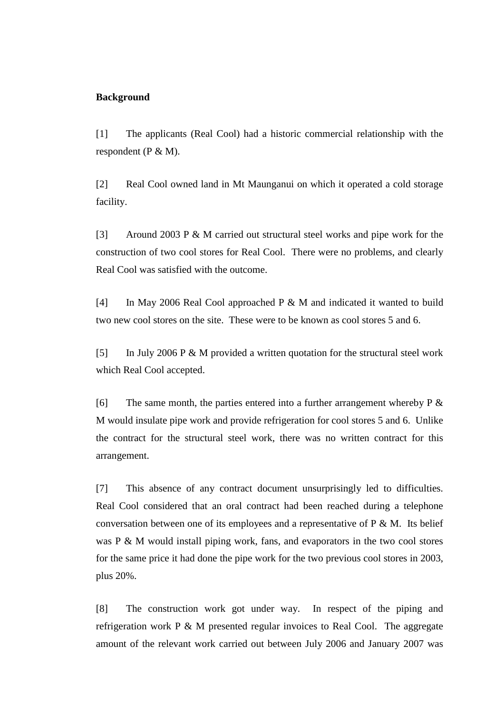## **Background**

[1] The applicants (Real Cool) had a historic commercial relationship with the respondent (P & M).

[2] Real Cool owned land in Mt Maunganui on which it operated a cold storage facility.

[3] Around 2003 P & M carried out structural steel works and pipe work for the construction of two cool stores for Real Cool. There were no problems, and clearly Real Cool was satisfied with the outcome.

[4] In May 2006 Real Cool approached P & M and indicated it wanted to build two new cool stores on the site. These were to be known as cool stores 5 and 6.

[5] In July 2006 P & M provided a written quotation for the structural steel work which Real Cool accepted.

[6] The same month, the parties entered into a further arrangement whereby  $P \&$ M would insulate pipe work and provide refrigeration for cool stores 5 and 6. Unlike the contract for the structural steel work, there was no written contract for this arrangement.

[7] This absence of any contract document unsurprisingly led to difficulties. Real Cool considered that an oral contract had been reached during a telephone conversation between one of its employees and a representative of  $P \& M$ . Its belief was P & M would install piping work, fans, and evaporators in the two cool stores for the same price it had done the pipe work for the two previous cool stores in 2003, plus 20%.

[8] The construction work got under way. In respect of the piping and refrigeration work P & M presented regular invoices to Real Cool. The aggregate amount of the relevant work carried out between July 2006 and January 2007 was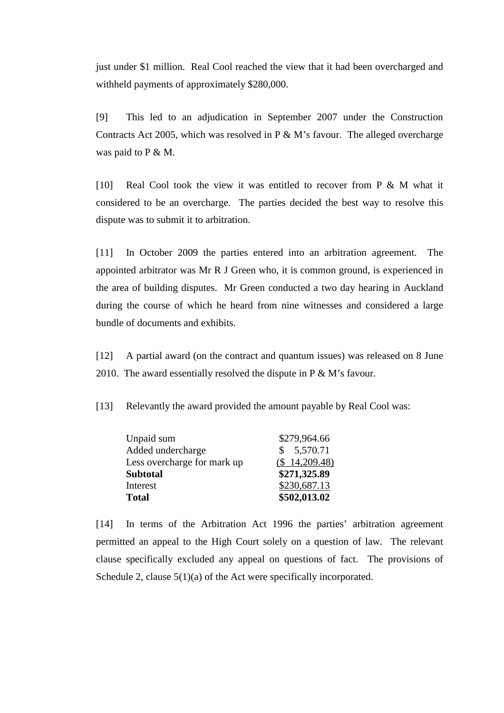just under \$1 million. Real Cool reached the view that it had been overcharged and withheld payments of approximately \$280,000.

[9] This led to an adjudication in September 2007 under the Construction Contracts Act 2005, which was resolved in P & M's favour. The alleged overcharge was paid to P & M.

[10] Real Cool took the view it was entitled to recover from P & M what it considered to be an overcharge. The parties decided the best way to resolve this dispute was to submit it to arbitration.

[11] In October 2009 the parties entered into an arbitration agreement. The appointed arbitrator was Mr R J Green who, it is common ground, is experienced in the area of building disputes. Mr Green conducted a two day hearing in Auckland during the course of which he heard from nine witnesses and considered a large bundle of documents and exhibits.

[12] A partial award (on the contract and quantum issues) was released on 8 June 2010. The award essentially resolved the dispute in P & M's favour.

[13] Relevantly the award provided the amount payable by Real Cool was:

| Unpaid sum                  | \$279,964.66  |
|-----------------------------|---------------|
| Added undercharge           | \$5,570.71    |
| Less overcharge for mark up | (\$14,209.48) |
| <b>Subtotal</b>             | \$271,325.89  |
| Interest                    | \$230,687.13  |
| <b>Total</b>                | \$502,013.02  |

[14] In terms of the Arbitration Act 1996 the parties' arbitration agreement permitted an appeal to the High Court solely on a question of law. The relevant clause specifically excluded any appeal on questions of fact. The provisions of Schedule 2, clause 5(1)(a) of the Act were specifically incorporated.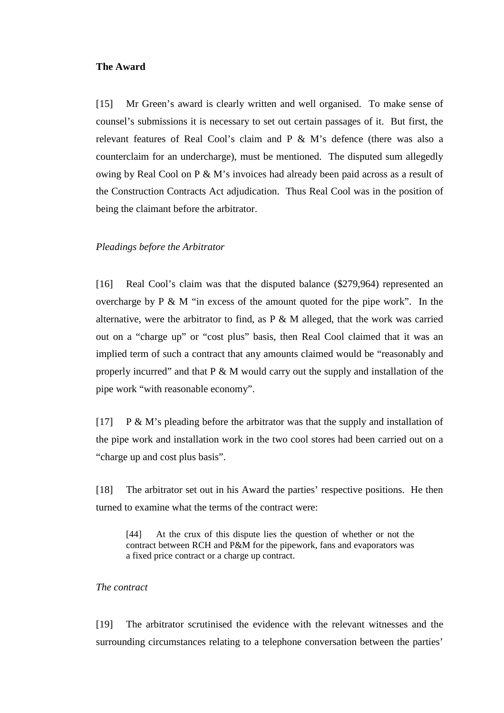## **The Award**

[15] Mr Green's award is clearly written and well organised. To make sense of counsel's submissions it is necessary to set out certain passages of it. But first, the relevant features of Real Cool's claim and P & M's defence (there was also a counterclaim for an undercharge), must be mentioned. The disputed sum allegedly owing by Real Cool on P & M's invoices had already been paid across as a result of the Construction Contracts Act adjudication. Thus Real Cool was in the position of being the claimant before the arbitrator.

## *Pleadings before the Arbitrator*

[16] Real Cool's claim was that the disputed balance (\$279,964) represented an overcharge by P & M "in excess of the amount quoted for the pipe work". In the alternative, were the arbitrator to find, as P & M alleged, that the work was carried out on a "charge up" or "cost plus" basis, then Real Cool claimed that it was an implied term of such a contract that any amounts claimed would be "reasonably and properly incurred" and that P & M would carry out the supply and installation of the pipe work "with reasonable economy".

 $[17]$  P & M's pleading before the arbitrator was that the supply and installation of the pipe work and installation work in the two cool stores had been carried out on a "charge up and cost plus basis".

[18] The arbitrator set out in his Award the parties' respective positions. He then turned to examine what the terms of the contract were:

[44] At the crux of this dispute lies the question of whether or not the contract between RCH and P&M for the pipework, fans and evaporators was a fixed price contract or a charge up contract.

## *The contract*

[19] The arbitrator scrutinised the evidence with the relevant witnesses and the surrounding circumstances relating to a telephone conversation between the parties'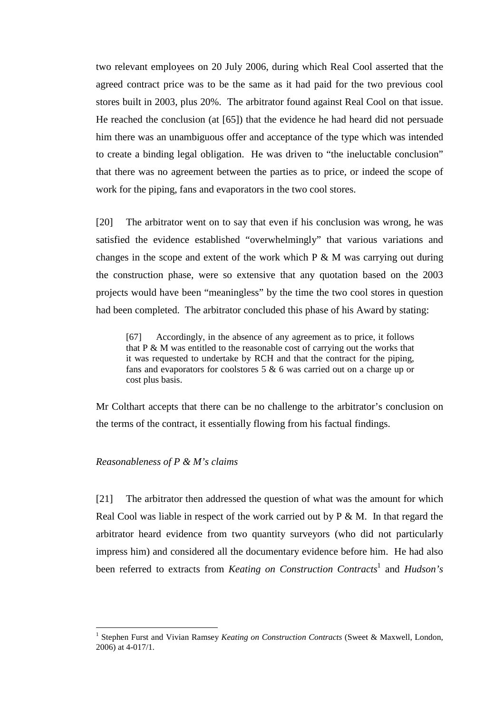two relevant employees on 20 July 2006, during which Real Cool asserted that the agreed contract price was to be the same as it had paid for the two previous cool stores built in 2003, plus 20%. The arbitrator found against Real Cool on that issue. He reached the conclusion (at [65]) that the evidence he had heard did not persuade him there was an unambiguous offer and acceptance of the type which was intended to create a binding legal obligation. He was driven to "the ineluctable conclusion" that there was no agreement between the parties as to price, or indeed the scope of work for the piping, fans and evaporators in the two cool stores.

[20] The arbitrator went on to say that even if his conclusion was wrong, he was satisfied the evidence established "overwhelmingly" that various variations and changes in the scope and extent of the work which  $P \& M$  was carrying out during the construction phase, were so extensive that any quotation based on the 2003 projects would have been "meaningless" by the time the two cool stores in question had been completed. The arbitrator concluded this phase of his Award by stating:

[67] Accordingly, in the absence of any agreement as to price, it follows that P & M was entitled to the reasonable cost of carrying out the works that it was requested to undertake by RCH and that the contract for the piping, fans and evaporators for coolstores 5 & 6 was carried out on a charge up or cost plus basis.

Mr Colthart accepts that there can be no challenge to the arbitrator's conclusion on the terms of the contract, it essentially flowing from his factual findings.

## *Reasonableness of P & M's claims*

 $\overline{a}$ 

[21] The arbitrator then addressed the question of what was the amount for which Real Cool was liable in respect of the work carried out by  $P \& M$ . In that regard the arbitrator heard evidence from two quantity surveyors (who did not particularly impress him) and considered all the documentary evidence before him. He had also been referred to extracts from *Keating on Construction Contracts*<sup>1</sup> and *Hudson's* 

<sup>&</sup>lt;sup>1</sup> Stephen Furst and Vivian Ramsey *Keating on Construction Contracts* (Sweet & Maxwell, London, 2006) at 4-017/1.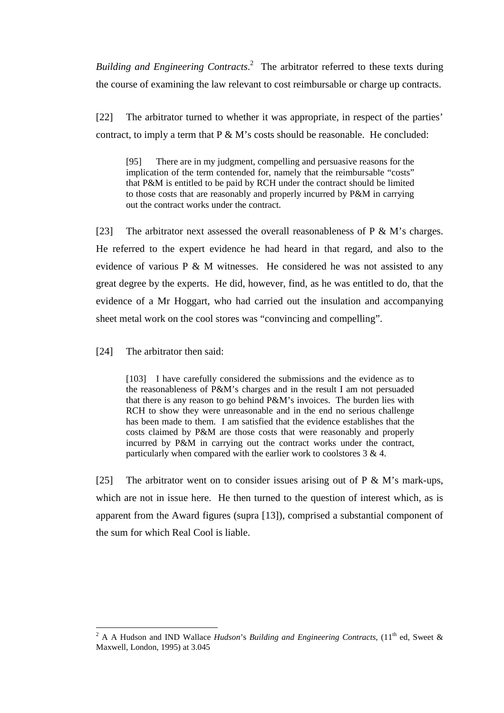*Building and Engineering Contracts*. 2 The arbitrator referred to these texts during the course of examining the law relevant to cost reimbursable or charge up contracts.

[22] The arbitrator turned to whether it was appropriate, in respect of the parties' contract, to imply a term that  $P \& M$ 's costs should be reasonable. He concluded:

[95] There are in my judgment, compelling and persuasive reasons for the implication of the term contended for, namely that the reimbursable "costs" that P&M is entitled to be paid by RCH under the contract should be limited to those costs that are reasonably and properly incurred by P&M in carrying out the contract works under the contract.

[23] The arbitrator next assessed the overall reasonableness of  $P \& M$ 's charges. He referred to the expert evidence he had heard in that regard, and also to the evidence of various  $P \& M$  witnesses. He considered he was not assisted to any great degree by the experts. He did, however, find, as he was entitled to do, that the evidence of a Mr Hoggart, who had carried out the insulation and accompanying sheet metal work on the cool stores was "convincing and compelling".

[24] The arbitrator then said:

[103] I have carefully considered the submissions and the evidence as to the reasonableness of P&M's charges and in the result I am not persuaded that there is any reason to go behind P&M's invoices. The burden lies with RCH to show they were unreasonable and in the end no serious challenge has been made to them. I am satisfied that the evidence establishes that the costs claimed by P&M are those costs that were reasonably and properly incurred by P&M in carrying out the contract works under the contract, particularly when compared with the earlier work to coolstores 3 & 4.

[25] The arbitrator went on to consider issues arising out of  $P \& M$ 's mark-ups, which are not in issue here. He then turned to the question of interest which, as is apparent from the Award figures (supra [13]), comprised a substantial component of the sum for which Real Cool is liable.

<sup>&</sup>lt;sup>2</sup> A A Hudson and IND Wallace *Hudson's Building and Engineering Contracts*, (11<sup>th</sup> ed, Sweet & Maxwell, London, 1995) at 3.045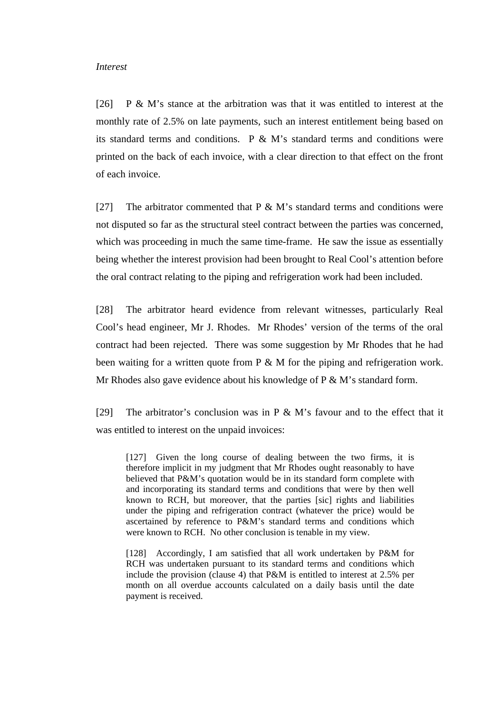#### *Interest*

[26] P & M's stance at the arbitration was that it was entitled to interest at the monthly rate of 2.5% on late payments, such an interest entitlement being based on its standard terms and conditions.  $P \& M$ 's standard terms and conditions were printed on the back of each invoice, with a clear direction to that effect on the front of each invoice.

[27] The arbitrator commented that  $P \& M$ 's standard terms and conditions were not disputed so far as the structural steel contract between the parties was concerned, which was proceeding in much the same time-frame. He saw the issue as essentially being whether the interest provision had been brought to Real Cool's attention before the oral contract relating to the piping and refrigeration work had been included.

[28] The arbitrator heard evidence from relevant witnesses, particularly Real Cool's head engineer, Mr J. Rhodes. Mr Rhodes' version of the terms of the oral contract had been rejected. There was some suggestion by Mr Rhodes that he had been waiting for a written quote from P & M for the piping and refrigeration work. Mr Rhodes also gave evidence about his knowledge of  $P \& M$ 's standard form.

[29] The arbitrator's conclusion was in  $P \& M$ 's favour and to the effect that it was entitled to interest on the unpaid invoices:

[127] Given the long course of dealing between the two firms, it is therefore implicit in my judgment that Mr Rhodes ought reasonably to have believed that P&M's quotation would be in its standard form complete with and incorporating its standard terms and conditions that were by then well known to RCH, but moreover, that the parties [sic] rights and liabilities under the piping and refrigeration contract (whatever the price) would be ascertained by reference to P&M's standard terms and conditions which were known to RCH. No other conclusion is tenable in my view.

[128] Accordingly, I am satisfied that all work undertaken by P&M for RCH was undertaken pursuant to its standard terms and conditions which include the provision (clause 4) that P&M is entitled to interest at 2.5% per month on all overdue accounts calculated on a daily basis until the date payment is received.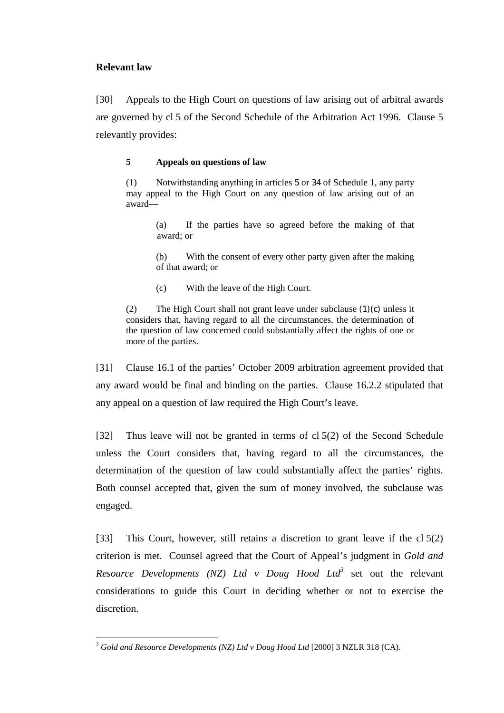# **Relevant law**

[30] Appeals to the High Court on questions of law arising out of arbitral awards are governed by cl 5 of the Second Schedule of the Arbitration Act 1996. Clause 5 relevantly provides:

# **5 Appeals on questions of law**

(1) Notwithstanding anything in articles 5 or 34 of Schedule 1, any party may appeal to the High Court on any question of law arising out of an award—

> (a) If the parties have so agreed before the making of that award; or

> (b) With the consent of every other party given after the making of that award; or

(c) With the leave of the High Court.

(2) The High Court shall not grant leave under subclause (1)(c) unless it considers that, having regard to all the circumstances, the determination of the question of law concerned could substantially affect the rights of one or more of the parties.

[31] Clause 16.1 of the parties' October 2009 arbitration agreement provided that any award would be final and binding on the parties. Clause 16.2.2 stipulated that any appeal on a question of law required the High Court's leave.

[32] Thus leave will not be granted in terms of cl 5(2) of the Second Schedule unless the Court considers that, having regard to all the circumstances, the determination of the question of law could substantially affect the parties' rights. Both counsel accepted that, given the sum of money involved, the subclause was engaged.

[33] This Court, however, still retains a discretion to grant leave if the cl 5(2) criterion is met. Counsel agreed that the Court of Appeal's judgment in *Gold and Resource Developments (NZ) Ltd v Doug Hood Ltd*<sup>3</sup> set out the relevant considerations to guide this Court in deciding whether or not to exercise the discretion.

 $\overline{a}$ <sup>3</sup> *Gold and Resource Developments (NZ) Ltd v Doug Hood Ltd* [2000] 3 NZLR 318 (CA).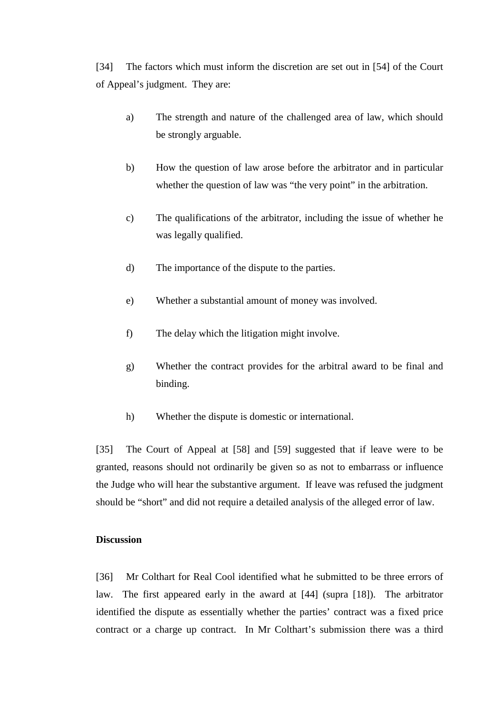[34] The factors which must inform the discretion are set out in [54] of the Court of Appeal's judgment. They are:

- a) The strength and nature of the challenged area of law, which should be strongly arguable.
- b) How the question of law arose before the arbitrator and in particular whether the question of law was "the very point" in the arbitration.
- c) The qualifications of the arbitrator, including the issue of whether he was legally qualified.
- d) The importance of the dispute to the parties.
- e) Whether a substantial amount of money was involved.
- f) The delay which the litigation might involve.
- g) Whether the contract provides for the arbitral award to be final and binding.
- h) Whether the dispute is domestic or international.

[35] The Court of Appeal at [58] and [59] suggested that if leave were to be granted, reasons should not ordinarily be given so as not to embarrass or influence the Judge who will hear the substantive argument. If leave was refused the judgment should be "short" and did not require a detailed analysis of the alleged error of law.

### **Discussion**

[36] Mr Colthart for Real Cool identified what he submitted to be three errors of law. The first appeared early in the award at [44] (supra [18]). The arbitrator identified the dispute as essentially whether the parties' contract was a fixed price contract or a charge up contract. In Mr Colthart's submission there was a third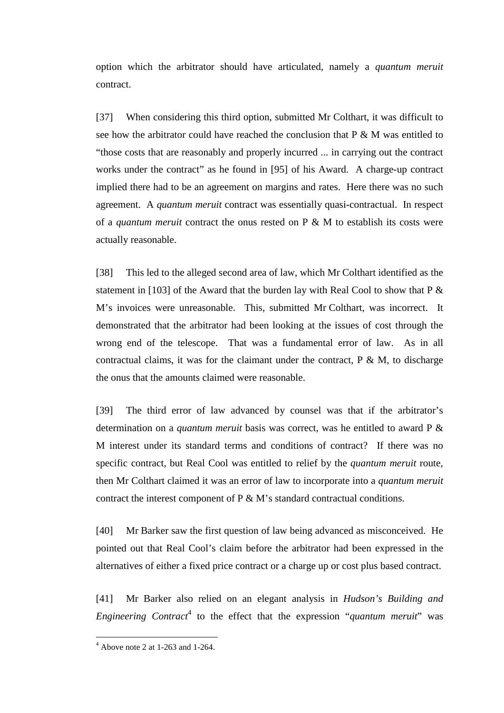option which the arbitrator should have articulated, namely a *quantum meruit* contract.

[37] When considering this third option, submitted Mr Colthart, it was difficult to see how the arbitrator could have reached the conclusion that  $P \& M$  was entitled to "those costs that are reasonably and properly incurred ... in carrying out the contract works under the contract" as he found in [95] of his Award. A charge-up contract implied there had to be an agreement on margins and rates. Here there was no such agreement. A *quantum meruit* contract was essentially quasi-contractual. In respect of a *quantum meruit* contract the onus rested on P & M to establish its costs were actually reasonable.

[38] This led to the alleged second area of law, which Mr Colthart identified as the statement in [103] of the Award that the burden lay with Real Cool to show that  $P \&$ M's invoices were unreasonable. This, submitted Mr Colthart, was incorrect. It demonstrated that the arbitrator had been looking at the issues of cost through the wrong end of the telescope. That was a fundamental error of law. As in all contractual claims, it was for the claimant under the contract,  $P \& M$ , to discharge the onus that the amounts claimed were reasonable.

[39] The third error of law advanced by counsel was that if the arbitrator's determination on a *quantum meruit* basis was correct, was he entitled to award P & M interest under its standard terms and conditions of contract? If there was no specific contract, but Real Cool was entitled to relief by the *quantum meruit* route, then Mr Colthart claimed it was an error of law to incorporate into a *quantum meruit* contract the interest component of P & M's standard contractual conditions.

[40] Mr Barker saw the first question of law being advanced as misconceived. He pointed out that Real Cool's claim before the arbitrator had been expressed in the alternatives of either a fixed price contract or a charge up or cost plus based contract.

[41] Mr Barker also relied on an elegant analysis in *Hudson's Building and Engineering Contract*<sup>4</sup> to the effect that the expression "*quantum meruit*" was

 $4$  Above note 2 at 1-263 and 1-264.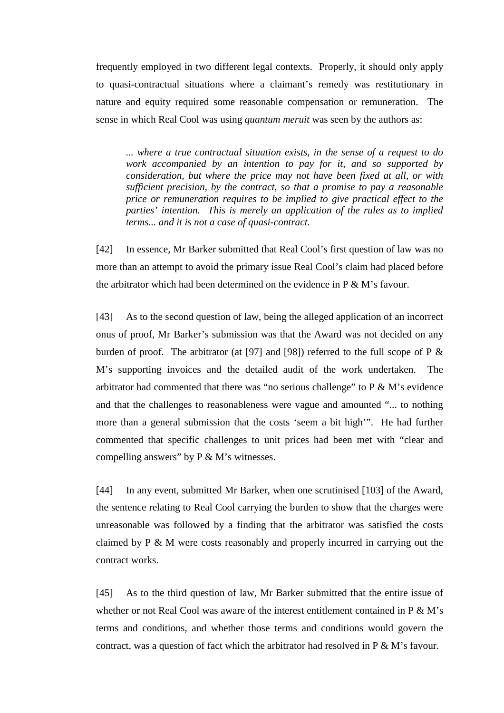frequently employed in two different legal contexts. Properly, it should only apply to quasi-contractual situations where a claimant's remedy was restitutionary in nature and equity required some reasonable compensation or remuneration. The sense in which Real Cool was using *quantum meruit* was seen by the authors as:

*... where a true contractual situation exists, in the sense of a request to do work accompanied by an intention to pay for it, and so supported by consideration, but where the price may not have been fixed at all, or with sufficient precision, by the contract, so that a promise to pay a reasonable price or remuneration requires to be implied to give practical effect to the parties' intention. This is merely an application of the rules as to implied terms... and it is not a case of quasi-contract.* 

[42] In essence, Mr Barker submitted that Real Cool's first question of law was no more than an attempt to avoid the primary issue Real Cool's claim had placed before the arbitrator which had been determined on the evidence in  $P \& M$ 's favour.

[43] As to the second question of law, being the alleged application of an incorrect onus of proof, Mr Barker's submission was that the Award was not decided on any burden of proof. The arbitrator (at [97] and [98]) referred to the full scope of P  $\&$ M's supporting invoices and the detailed audit of the work undertaken. The arbitrator had commented that there was "no serious challenge" to  $P \& M$ 's evidence and that the challenges to reasonableness were vague and amounted "... to nothing more than a general submission that the costs 'seem a bit high'". He had further commented that specific challenges to unit prices had been met with "clear and compelling answers" by  $P \& M$ 's witnesses.

[44] In any event, submitted Mr Barker, when one scrutinised [103] of the Award, the sentence relating to Real Cool carrying the burden to show that the charges were unreasonable was followed by a finding that the arbitrator was satisfied the costs claimed by P & M were costs reasonably and properly incurred in carrying out the contract works.

[45] As to the third question of law, Mr Barker submitted that the entire issue of whether or not Real Cool was aware of the interest entitlement contained in  $P \& M$ 's terms and conditions, and whether those terms and conditions would govern the contract, was a question of fact which the arbitrator had resolved in  $P \& M$ 's favour.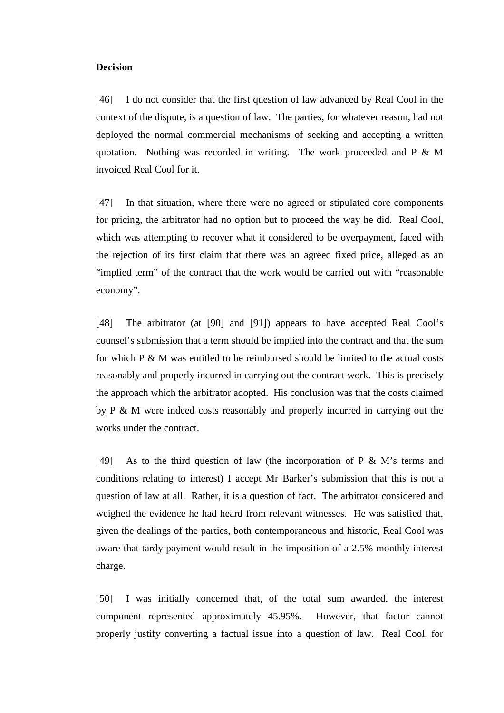## **Decision**

[46] I do not consider that the first question of law advanced by Real Cool in the context of the dispute, is a question of law. The parties, for whatever reason, had not deployed the normal commercial mechanisms of seeking and accepting a written quotation. Nothing was recorded in writing. The work proceeded and P & M invoiced Real Cool for it.

[47] In that situation, where there were no agreed or stipulated core components for pricing, the arbitrator had no option but to proceed the way he did. Real Cool, which was attempting to recover what it considered to be overpayment, faced with the rejection of its first claim that there was an agreed fixed price, alleged as an "implied term" of the contract that the work would be carried out with "reasonable economy".

[48] The arbitrator (at [90] and [91]) appears to have accepted Real Cool's counsel's submission that a term should be implied into the contract and that the sum for which P & M was entitled to be reimbursed should be limited to the actual costs reasonably and properly incurred in carrying out the contract work. This is precisely the approach which the arbitrator adopted. His conclusion was that the costs claimed by P & M were indeed costs reasonably and properly incurred in carrying out the works under the contract.

[49] As to the third question of law (the incorporation of P  $\&$  M's terms and conditions relating to interest) I accept Mr Barker's submission that this is not a question of law at all. Rather, it is a question of fact. The arbitrator considered and weighed the evidence he had heard from relevant witnesses. He was satisfied that, given the dealings of the parties, both contemporaneous and historic, Real Cool was aware that tardy payment would result in the imposition of a 2.5% monthly interest charge.

[50] I was initially concerned that, of the total sum awarded, the interest component represented approximately 45.95%. However, that factor cannot properly justify converting a factual issue into a question of law. Real Cool, for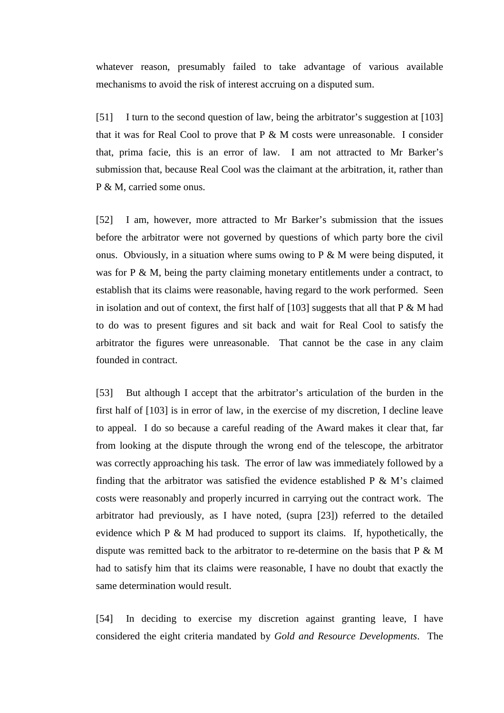whatever reason, presumably failed to take advantage of various available mechanisms to avoid the risk of interest accruing on a disputed sum.

[51] I turn to the second question of law, being the arbitrator's suggestion at [103] that it was for Real Cool to prove that  $P \& M$  costs were unreasonable. I consider that, prima facie, this is an error of law. I am not attracted to Mr Barker's submission that, because Real Cool was the claimant at the arbitration, it, rather than P & M, carried some onus.

[52] I am, however, more attracted to Mr Barker's submission that the issues before the arbitrator were not governed by questions of which party bore the civil onus. Obviously, in a situation where sums owing to  $P \& M$  were being disputed, it was for P & M, being the party claiming monetary entitlements under a contract, to establish that its claims were reasonable, having regard to the work performed. Seen in isolation and out of context, the first half of  $[103]$  suggests that all that P & M had to do was to present figures and sit back and wait for Real Cool to satisfy the arbitrator the figures were unreasonable. That cannot be the case in any claim founded in contract.

[53] But although I accept that the arbitrator's articulation of the burden in the first half of [103] is in error of law, in the exercise of my discretion, I decline leave to appeal. I do so because a careful reading of the Award makes it clear that, far from looking at the dispute through the wrong end of the telescope, the arbitrator was correctly approaching his task. The error of law was immediately followed by a finding that the arbitrator was satisfied the evidence established  $P \& M$ 's claimed costs were reasonably and properly incurred in carrying out the contract work. The arbitrator had previously, as I have noted, (supra [23]) referred to the detailed evidence which P & M had produced to support its claims. If, hypothetically, the dispute was remitted back to the arbitrator to re-determine on the basis that P & M had to satisfy him that its claims were reasonable, I have no doubt that exactly the same determination would result.

[54] In deciding to exercise my discretion against granting leave, I have considered the eight criteria mandated by *Gold and Resource Developments*. The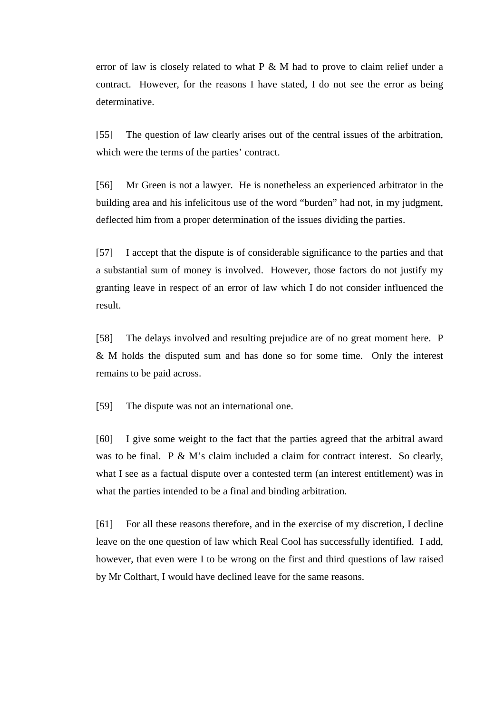error of law is closely related to what  $P \& M$  had to prove to claim relief under a contract. However, for the reasons I have stated, I do not see the error as being determinative.

[55] The question of law clearly arises out of the central issues of the arbitration, which were the terms of the parties' contract.

[56] Mr Green is not a lawyer. He is nonetheless an experienced arbitrator in the building area and his infelicitous use of the word "burden" had not, in my judgment, deflected him from a proper determination of the issues dividing the parties.

[57] I accept that the dispute is of considerable significance to the parties and that a substantial sum of money is involved. However, those factors do not justify my granting leave in respect of an error of law which I do not consider influenced the result.

[58] The delays involved and resulting prejudice are of no great moment here. P & M holds the disputed sum and has done so for some time. Only the interest remains to be paid across.

[59] The dispute was not an international one.

[60] I give some weight to the fact that the parties agreed that the arbitral award was to be final. P & M's claim included a claim for contract interest. So clearly, what I see as a factual dispute over a contested term (an interest entitlement) was in what the parties intended to be a final and binding arbitration.

[61] For all these reasons therefore, and in the exercise of my discretion, I decline leave on the one question of law which Real Cool has successfully identified. I add, however, that even were I to be wrong on the first and third questions of law raised by Mr Colthart, I would have declined leave for the same reasons.